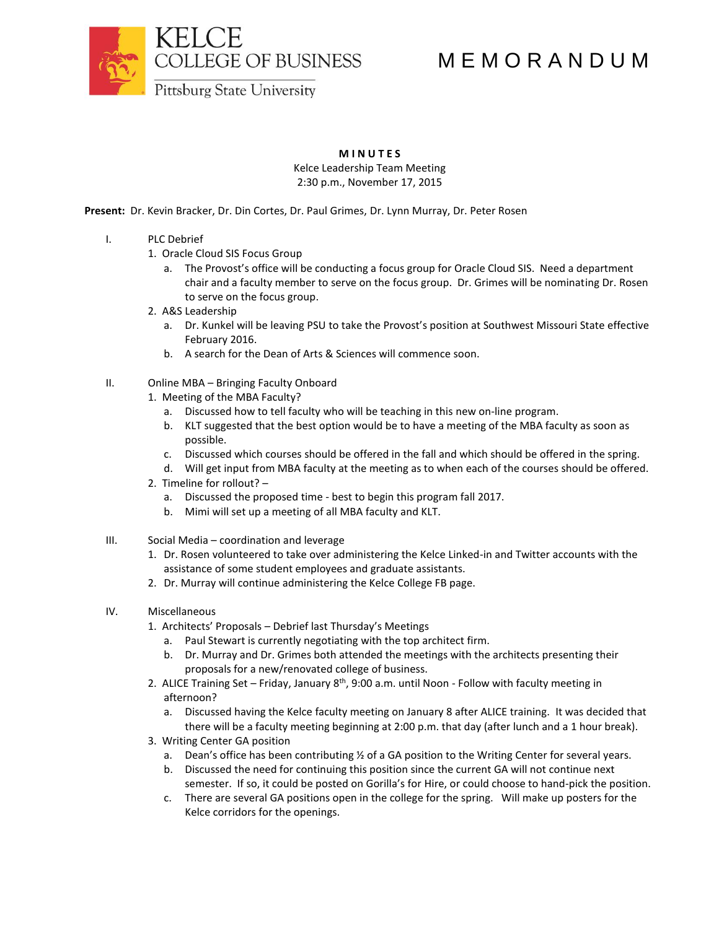

## M E M O R A N D U M

**Pittsburg State University** 

## **M I N U T E S**

Kelce Leadership Team Meeting 2:30 p.m., November 17, 2015

**Present:** Dr. Kevin Bracker, Dr. Din Cortes, Dr. Paul Grimes, Dr. Lynn Murray, Dr. Peter Rosen

- I. PLC Debrief
	- 1. Oracle Cloud SIS Focus Group
		- a. The Provost's office will be conducting a focus group for Oracle Cloud SIS. Need a department chair and a faculty member to serve on the focus group. Dr. Grimes will be nominating Dr. Rosen to serve on the focus group.
	- 2. A&S Leadership
		- a. Dr. Kunkel will be leaving PSU to take the Provost's position at Southwest Missouri State effective February 2016.
		- b. A search for the Dean of Arts & Sciences will commence soon.
- II. Online MBA Bringing Faculty Onboard
	- 1. Meeting of the MBA Faculty?
		- a. Discussed how to tell faculty who will be teaching in this new on-line program.
		- b. KLT suggested that the best option would be to have a meeting of the MBA faculty as soon as possible.
		- c. Discussed which courses should be offered in the fall and which should be offered in the spring.
		- d. Will get input from MBA faculty at the meeting as to when each of the courses should be offered.
	- 2. Timeline for rollout?
		- a. Discussed the proposed time best to begin this program fall 2017.
		- b. Mimi will set up a meeting of all MBA faculty and KLT.
- III. Social Media coordination and leverage
	- 1. Dr. Rosen volunteered to take over administering the Kelce Linked-in and Twitter accounts with the assistance of some student employees and graduate assistants.
	- 2. Dr. Murray will continue administering the Kelce College FB page.
- IV. Miscellaneous
	- 1. Architects' Proposals Debrief last Thursday's Meetings
		- a. Paul Stewart is currently negotiating with the top architect firm.
		- b. Dr. Murray and Dr. Grimes both attended the meetings with the architects presenting their proposals for a new/renovated college of business.
	- 2. ALICE Training Set Friday, January 8<sup>th</sup>, 9:00 a.m. until Noon Follow with faculty meeting in afternoon?
		- a. Discussed having the Kelce faculty meeting on January 8 after ALICE training. It was decided that there will be a faculty meeting beginning at 2:00 p.m. that day (after lunch and a 1 hour break).
	- 3. Writing Center GA position
		- a. Dean's office has been contributing ½ of a GA position to the Writing Center for several years.
		- b. Discussed the need for continuing this position since the current GA will not continue next semester. If so, it could be posted on Gorilla's for Hire, or could choose to hand-pick the position.
		- c. There are several GA positions open in the college for the spring. Will make up posters for the Kelce corridors for the openings.